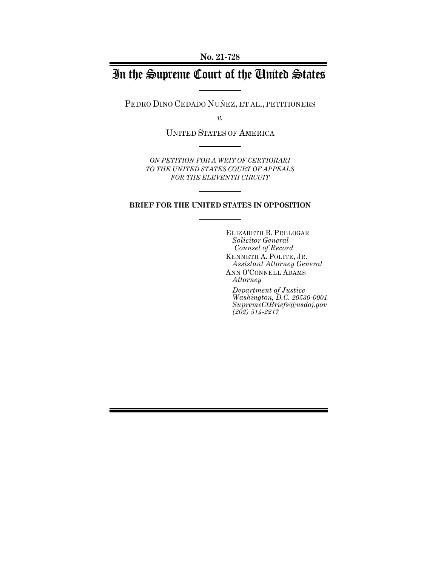# In the Supreme Court of the United States

PEDRO DINO CEDADO NUÑEZ, ET AL., PETITIONERS

*v.*

UNITED STATES OF AMERICA

*ON PETITION FOR A WRIT OF CERTIORARI TO THE UNITED STATES COURT OF APPEALS FOR THE ELEVENTH CIRCUIT*

### **BRIEF FOR THE UNITED STATES IN OPPOSITION**

ELIZABETH B. PRELOGAR *Solicitor General Counsel of Record* KENNETH A. POLITE, JR. *Assistant Attorney General* ANN O'CONNELL ADAMS *Attorney*

*Department of Justice Washington, D.C. 20530-0001 SupremeCtBriefs@usdoj.gov (202) 514-2217*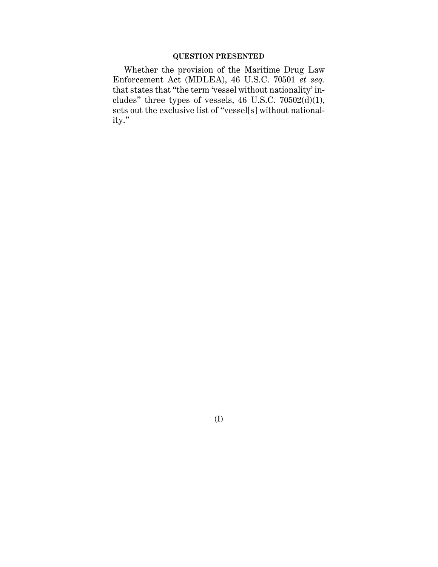### **QUESTION PRESENTED**

Whether the provision of the Maritime Drug Law Enforcement Act (MDLEA), 46 U.S.C. 70501 *et seq.* that states that "the term 'vessel without nationality' includes" three types of vessels, 46 U.S.C.  $70502(d)(1)$ , sets out the exclusive list of "vessel[s] without nationality."

(I)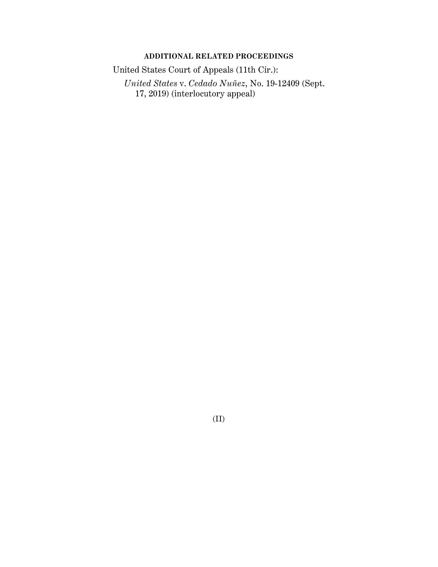## **ADDITIONAL RELATED PROCEEDINGS**

United States Court of Appeals (11th Cir.):

*United States* v. *Cedado Nuñez*, No. 19-12409 (Sept. 17, 2019) (interlocutory appeal)

(II)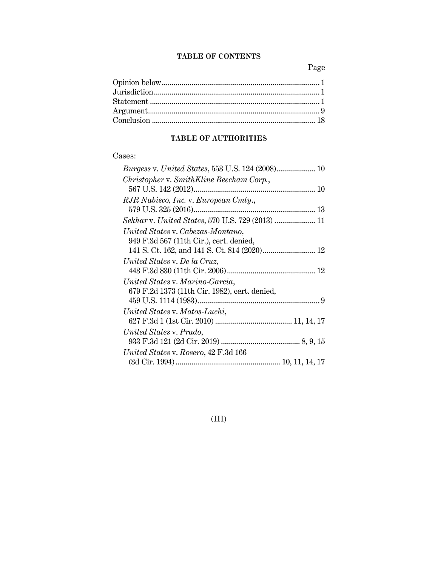## **TABLE OF CONTENTS**

Page

## **TABLE OF AUTHORITIES**

## Cases:

## (III)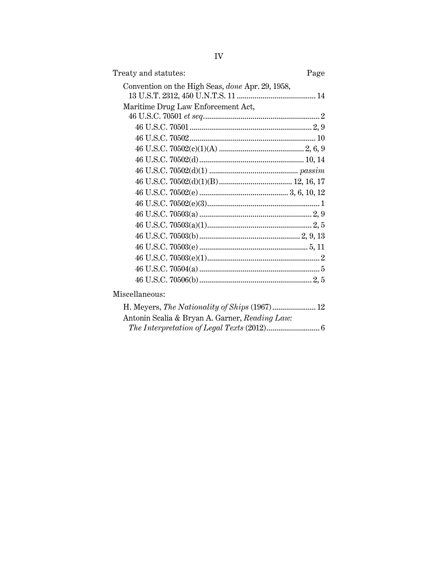| Treaty and statutes:                             | Page |
|--------------------------------------------------|------|
| Convention on the High Seas, done Apr. 29, 1958, |      |
| Maritime Drug Law Enforcement Act,               |      |
|                                                  |      |
|                                                  |      |
|                                                  |      |
|                                                  |      |
|                                                  |      |
|                                                  |      |
|                                                  |      |
|                                                  |      |
|                                                  |      |
|                                                  |      |
|                                                  |      |
|                                                  |      |
|                                                  |      |
|                                                  |      |
|                                                  |      |
| Miscellaneous:                                   |      |

| H. Meyers, The Nationality of Ships (1967) 12  |  |
|------------------------------------------------|--|
| Antonin Scalia & Bryan A. Garner, Reading Law: |  |
|                                                |  |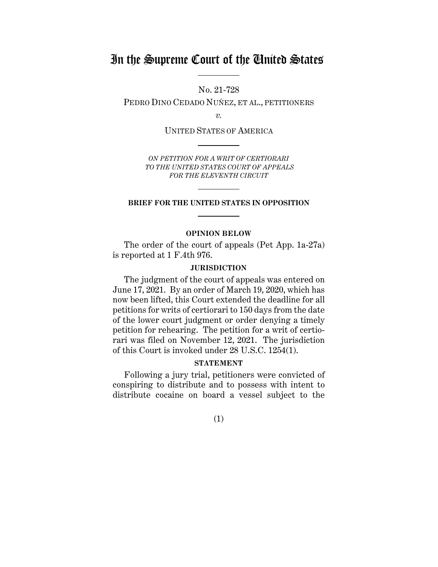## In the Supreme Court of the United States

No. 21-728

PEDRO DINO CEDADO NUÑEZ, ET AL., PETITIONERS

*v.*

UNITED STATES OF AMERICA

*ON PETITION FOR A WRIT OF CERTIORARI TO THE UNITED STATES COURT OF APPEALS FOR THE ELEVENTH CIRCUIT*

### **BRIEF FOR THE UNITED STATES IN OPPOSITION**

### **OPINION BELOW**

The order of the court of appeals (Pet App. 1a-27a) is reported at 1 F.4th 976.

### **JURISDICTION**

The judgment of the court of appeals was entered on June 17, 2021. By an order of March 19, 2020, which has now been lifted, this Court extended the deadline for all petitions for writs of certiorari to 150 days from the date of the lower court judgment or order denying a timely petition for rehearing. The petition for a writ of certiorari was filed on November 12, 2021. The jurisdiction of this Court is invoked under 28 U.S.C. 1254(1).

### **STATEMENT**

Following a jury trial, petitioners were convicted of conspiring to distribute and to possess with intent to distribute cocaine on board a vessel subject to the

(1)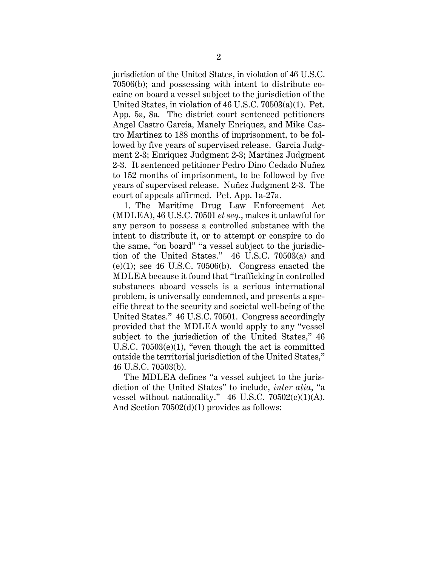jurisdiction of the United States, in violation of 46 U.S.C. 70506(b); and possessing with intent to distribute cocaine on board a vessel subject to the jurisdiction of the United States, in violation of 46 U.S.C. 70503(a)(1). Pet. App. 5a, 8a. The district court sentenced petitioners Angel Castro Garcia, Manely Enriquez, and Mike Castro Martinez to 188 months of imprisonment, to be followed by five years of supervised release. Garcia Judgment 2-3; Enriquez Judgment 2-3; Martinez Judgment 2-3. It sentenced petitioner Pedro Dino Cedado Nuñez to 152 months of imprisonment, to be followed by five years of supervised release. Nuñez Judgment 2-3. The court of appeals affirmed. Pet. App. 1a-27a.

1. The Maritime Drug Law Enforcement Act (MDLEA), 46 U.S.C. 70501 *et seq.*, makes it unlawful for any person to possess a controlled substance with the intent to distribute it, or to attempt or conspire to do the same, "on board" "a vessel subject to the jurisdiction of the United States." 46 U.S.C. 70503(a) and  $(e)(1)$ ; see 46 U.S.C. 70506 $(b)$ . Congress enacted the MDLEA because it found that "trafficking in controlled substances aboard vessels is a serious international problem, is universally condemned, and presents a specific threat to the security and societal well-being of the United States." 46 U.S.C. 70501. Congress accordingly provided that the MDLEA would apply to any "vessel subject to the jurisdiction of the United States," 46 U.S.C. 70503(e)(1), "even though the act is committed outside the territorial jurisdiction of the United States," 46 U.S.C. 70503(b).

The MDLEA defines "a vessel subject to the jurisdiction of the United States" to include, *inter alia*, "a vessel without nationality."  $46$  U.S.C.  $70502(c)(1)(A)$ . And Section 70502(d)(1) provides as follows: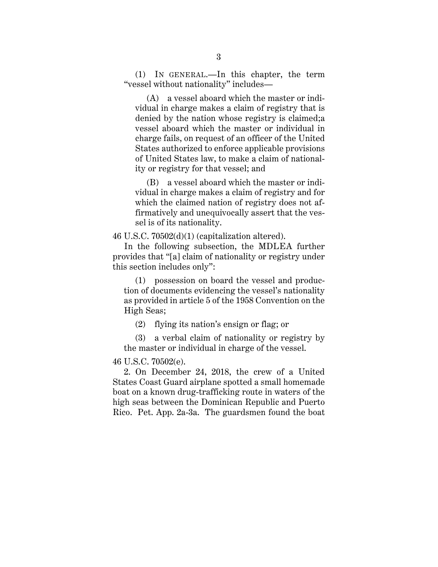(1) IN GENERAL.—In this chapter, the term "vessel without nationality" includes—

 (A) a vessel aboard which the master or individual in charge makes a claim of registry that is denied by the nation whose registry is claimed;a vessel aboard which the master or individual in charge fails, on request of an officer of the United States authorized to enforce applicable provisions of United States law, to make a claim of nationality or registry for that vessel; and

 (B) a vessel aboard which the master or individual in charge makes a claim of registry and for which the claimed nation of registry does not affirmatively and unequivocally assert that the vessel is of its nationality.

46 U.S.C. 70502(d)(1) (capitalization altered).

In the following subsection, the MDLEA further provides that "[a] claim of nationality or registry under this section includes only":

 (1) possession on board the vessel and production of documents evidencing the vessel's nationality as provided in article 5 of the 1958 Convention on the High Seas;

(2) flying its nation's ensign or flag; or

 (3) a verbal claim of nationality or registry by the master or individual in charge of the vessel.

### 46 U.S.C. 70502(e).

2. On December 24, 2018, the crew of a United States Coast Guard airplane spotted a small homemade boat on a known drug-trafficking route in waters of the high seas between the Dominican Republic and Puerto Rico. Pet. App. 2a-3a. The guardsmen found the boat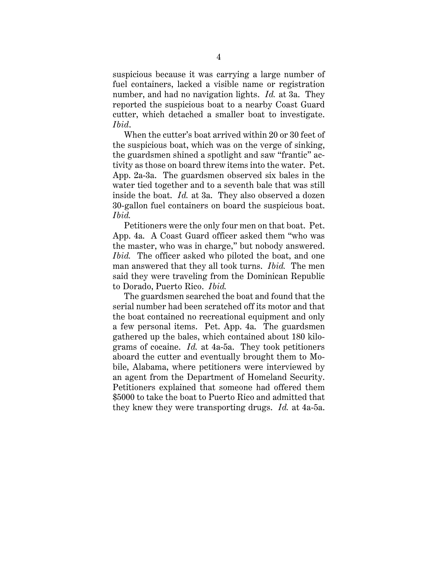suspicious because it was carrying a large number of fuel containers, lacked a visible name or registration number, and had no navigation lights. *Id.* at 3a. They reported the suspicious boat to a nearby Coast Guard cutter, which detached a smaller boat to investigate. *Ibid*.

When the cutter's boat arrived within 20 or 30 feet of the suspicious boat, which was on the verge of sinking, the guardsmen shined a spotlight and saw "frantic" activity as those on board threw items into the water. Pet. App. 2a-3a. The guardsmen observed six bales in the water tied together and to a seventh bale that was still inside the boat. *Id.* at 3a. They also observed a dozen 30-gallon fuel containers on board the suspicious boat. *Ibid.*

Petitioners were the only four men on that boat. Pet. App. 4a. A Coast Guard officer asked them "who was the master, who was in charge," but nobody answered. *Ibid.* The officer asked who piloted the boat, and one man answered that they all took turns. *Ibid.* The men said they were traveling from the Dominican Republic to Dorado, Puerto Rico. *Ibid.*

The guardsmen searched the boat and found that the serial number had been scratched off its motor and that the boat contained no recreational equipment and only a few personal items. Pet. App. 4a. The guardsmen gathered up the bales, which contained about 180 kilograms of cocaine. *Id.* at 4a-5a. They took petitioners aboard the cutter and eventually brought them to Mobile, Alabama, where petitioners were interviewed by an agent from the Department of Homeland Security. Petitioners explained that someone had offered them \$5000 to take the boat to Puerto Rico and admitted that they knew they were transporting drugs. *Id.* at 4a-5a.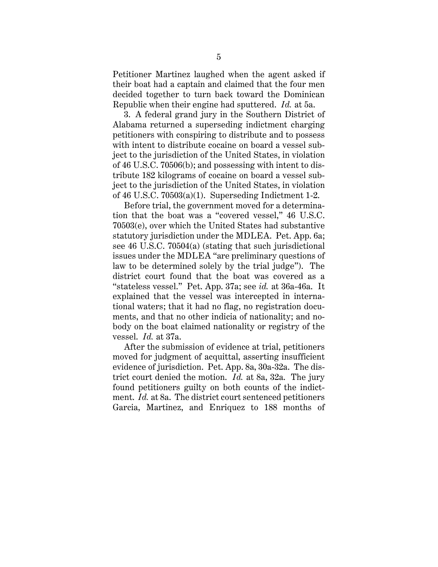Petitioner Martinez laughed when the agent asked if their boat had a captain and claimed that the four men decided together to turn back toward the Dominican Republic when their engine had sputtered. *Id.* at 5a.

3. A federal grand jury in the Southern District of Alabama returned a superseding indictment charging petitioners with conspiring to distribute and to possess with intent to distribute cocaine on board a vessel subject to the jurisdiction of the United States, in violation of 46 U.S.C. 70506(b); and possessing with intent to distribute 182 kilograms of cocaine on board a vessel subject to the jurisdiction of the United States, in violation of 46 U.S.C. 70503(a)(1). Superseding Indictment 1-2.

Before trial, the government moved for a determination that the boat was a "covered vessel," 46 U.S.C. 70503(e), over which the United States had substantive statutory jurisdiction under the MDLEA. Pet. App. 6a; see 46 U.S.C. 70504(a) (stating that such jurisdictional issues under the MDLEA "are preliminary questions of law to be determined solely by the trial judge"). The district court found that the boat was covered as a "stateless vessel." Pet. App. 37a; see *id.* at 36a-46a. It explained that the vessel was intercepted in international waters; that it had no flag, no registration documents, and that no other indicia of nationality; and nobody on the boat claimed nationality or registry of the vessel. *Id.* at 37a.

After the submission of evidence at trial, petitioners moved for judgment of acquittal, asserting insufficient evidence of jurisdiction. Pet. App. 8a, 30a-32a. The district court denied the motion. *Id.* at 8a, 32a. The jury found petitioners guilty on both counts of the indictment. *Id.* at 8a. The district court sentenced petitioners Garcia, Martinez, and Enriquez to 188 months of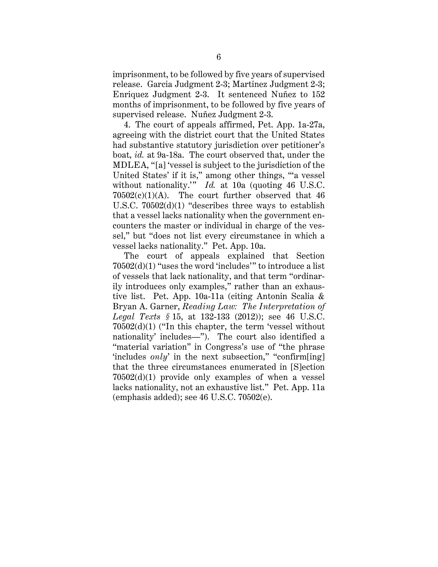imprisonment, to be followed by five years of supervised release. Garcia Judgment 2-3; Martinez Judgment 2-3; Enriquez Judgment 2-3. It sentenced Nuñez to 152 months of imprisonment, to be followed by five years of supervised release. Nuñez Judgment 2-3.

4. The court of appeals affirmed, Pet. App. 1a-27a, agreeing with the district court that the United States had substantive statutory jurisdiction over petitioner's boat, *id.* at 9a-18a. The court observed that, under the MDLEA, "[a] 'vessel is subject to the jurisdiction of the United States' if it is," among other things, "'a vessel without nationality.'" *Id.* at 10a (quoting 46 U.S.C.  $70502(c)(1)(A)$ . The court further observed that 46 U.S.C. 70502(d)(1) "describes three ways to establish that a vessel lacks nationality when the government encounters the master or individual in charge of the vessel," but "does not list every circumstance in which a vessel lacks nationality." Pet. App. 10a.

The court of appeals explained that Section 70502(d)(1) "uses the word 'includes'" to introduce a list of vessels that lack nationality, and that term "ordinarily introduces only examples," rather than an exhaustive list. Pet. App. 10a-11a (citing Antonin Scalia & Bryan A. Garner, *Reading Law: The Interpretation of Legal Texts §* 15, at 132-133 (2012)); see 46 U.S.C. 70502(d)(1) ("In this chapter, the term 'vessel without nationality' includes—"). The court also identified a "material variation" in Congress's use of "the phrase 'includes *only*' in the next subsection," "confirm[ing] that the three circumstances enumerated in [S]ection 70502(d)(1) provide only examples of when a vessel lacks nationality, not an exhaustive list." Pet. App. 11a (emphasis added); see 46 U.S.C. 70502(e).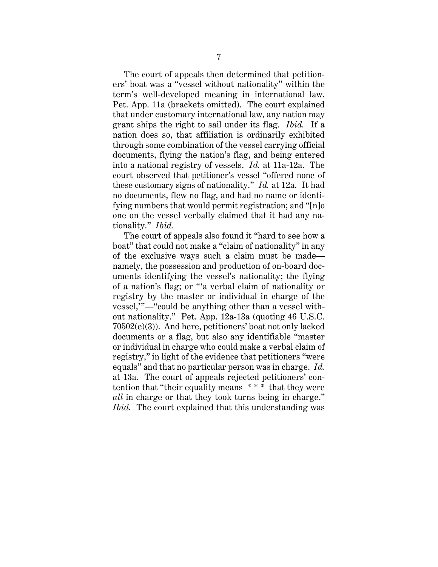The court of appeals then determined that petitioners' boat was a "vessel without nationality" within the term's well-developed meaning in international law. Pet. App. 11a (brackets omitted). The court explained that under customary international law, any nation may grant ships the right to sail under its flag. *Ibid.* If a nation does so, that affiliation is ordinarily exhibited through some combination of the vessel carrying official documents, flying the nation's flag, and being entered into a national registry of vessels. *Id.* at 11a-12a. The court observed that petitioner's vessel "offered none of these customary signs of nationality." *Id.* at 12a. It had no documents, flew no flag, and had no name or identifying numbers that would permit registration; and "[n]o one on the vessel verbally claimed that it had any nationality." *Ibid.*

The court of appeals also found it "hard to see how a boat" that could not make a "claim of nationality" in any of the exclusive ways such a claim must be made namely, the possession and production of on-board documents identifying the vessel's nationality; the flying of a nation's flag; or "'a verbal claim of nationality or registry by the master or individual in charge of the vessel,'"—"could be anything other than a vessel without nationality." Pet. App. 12a-13a (quoting 46 U.S.C. 70502(e)(3)). And here, petitioners' boat not only lacked documents or a flag, but also any identifiable "master or individual in charge who could make a verbal claim of registry," in light of the evidence that petitioners "were equals" and that no particular person was in charge. *Id.*  at 13a. The court of appeals rejected petitioners' contention that "their equality means \* \* \* that they were *all* in charge or that they took turns being in charge." *Ibid.* The court explained that this understanding was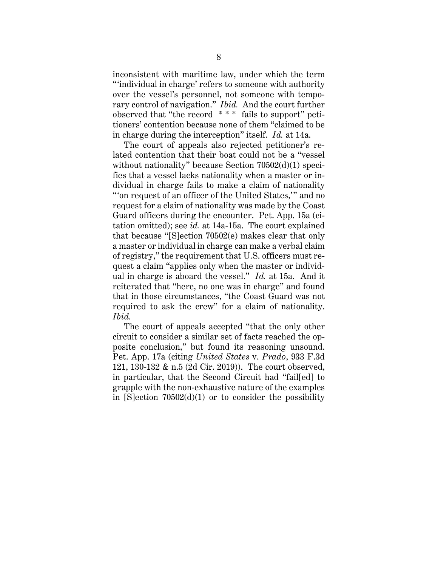inconsistent with maritime law, under which the term "'individual in charge' refers to someone with authority over the vessel's personnel, not someone with temporary control of navigation." *Ibid.* And the court further observed that "the record \* \* \* fails to support" petitioners' contention because none of them "claimed to be in charge during the interception" itself. *Id.* at 14a.

The court of appeals also rejected petitioner's related contention that their boat could not be a "vessel without nationality" because Section 70502(d)(1) specifies that a vessel lacks nationality when a master or individual in charge fails to make a claim of nationality "'on request of an officer of the United States,'" and no request for a claim of nationality was made by the Coast Guard officers during the encounter. Pet. App. 15a (citation omitted); see *id.* at 14a-15a. The court explained that because "[S]ection 70502(e) makes clear that only a master or individual in charge can make a verbal claim of registry," the requirement that U.S. officers must request a claim "applies only when the master or individual in charge is aboard the vessel." *Id.* at 15a. And it reiterated that "here, no one was in charge" and found that in those circumstances, "the Coast Guard was not required to ask the crew" for a claim of nationality. *Ibid.*

The court of appeals accepted "that the only other circuit to consider a similar set of facts reached the opposite conclusion," but found its reasoning unsound. Pet. App. 17a (citing *United States* v. *Prado*, 933 F.3d 121, 130-132 & n.5 (2d Cir. 2019)). The court observed, in particular, that the Second Circuit had "fail[ed] to grapple with the non-exhaustive nature of the examples in  $[S]$ ection  $70502(d)(1)$  or to consider the possibility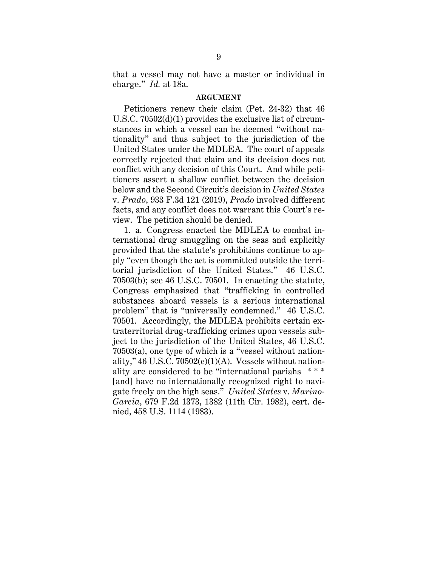that a vessel may not have a master or individual in charge." *Id.* at 18a.

#### **ARGUMENT**

Petitioners renew their claim (Pet. 24-32) that 46 U.S.C. 70502(d)(1) provides the exclusive list of circumstances in which a vessel can be deemed "without nationality" and thus subject to the jurisdiction of the United States under the MDLEA. The court of appeals correctly rejected that claim and its decision does not conflict with any decision of this Court. And while petitioners assert a shallow conflict between the decision below and the Second Circuit's decision in *United States* v. *Prado*, 933 F.3d 121 (2019), *Prado* involved different facts, and any conflict does not warrant this Court's review. The petition should be denied.

1. a. Congress enacted the MDLEA to combat international drug smuggling on the seas and explicitly provided that the statute's prohibitions continue to apply "even though the act is committed outside the territorial jurisdiction of the United States." 46 U.S.C. 70503(b); see 46 U.S.C. 70501. In enacting the statute, Congress emphasized that "trafficking in controlled substances aboard vessels is a serious international problem" that is "universally condemned." 46 U.S.C. 70501. Accordingly, the MDLEA prohibits certain extraterritorial drug-trafficking crimes upon vessels subject to the jurisdiction of the United States, 46 U.S.C. 70503(a), one type of which is a "vessel without nationality," 46 U.S.C.  $70502(c)(1)(A)$ . Vessels without nationality are considered to be "international pariahs \* \* \* [and] have no internationally recognized right to navigate freely on the high seas." *United States* v. *Marino-Garcia*, 679 F.2d 1373, 1382 (11th Cir. 1982), cert. denied, 458 U.S. 1114 (1983).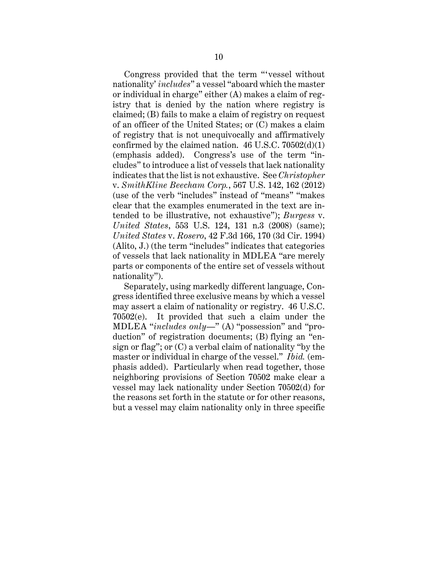Congress provided that the term "'vessel without nationality' *includes*" a vessel "aboard which the master or individual in charge" either (A) makes a claim of registry that is denied by the nation where registry is claimed; (B) fails to make a claim of registry on request of an officer of the United States; or (C) makes a claim of registry that is not unequivocally and affirmatively confirmed by the claimed nation.  $46$  U.S.C.  $70502(d)(1)$ (emphasis added). Congress's use of the term "includes" to introduce a list of vessels that lack nationality indicates that the list is not exhaustive. See *Christopher* v. *SmithKline Beecham Corp.*, 567 U.S. 142, 162 (2012) (use of the verb "includes" instead of "means" "makes clear that the examples enumerated in the text are intended to be illustrative, not exhaustive"); *Burgess* v. *United States*, 553 U.S. 124, 131 n.3 (2008) (same); *United States* v. *Rosero*, 42 F.3d 166, 170 (3d Cir. 1994) (Alito, J.) (the term "includes" indicates that categories of vessels that lack nationality in MDLEA "are merely parts or components of the entire set of vessels without nationality").

Separately, using markedly different language, Congress identified three exclusive means by which a vessel may assert a claim of nationality or registry. 46 U.S.C. 70502(e). It provided that such a claim under the MDLEA "*includes only*—" (A) "possession" and "production" of registration documents; (B) flying an "ensign or flag"; or (C) a verbal claim of nationality "by the master or individual in charge of the vessel." *Ibid.* (emphasis added). Particularly when read together, those neighboring provisions of Section 70502 make clear a vessel may lack nationality under Section 70502(d) for the reasons set forth in the statute or for other reasons, but a vessel may claim nationality only in three specific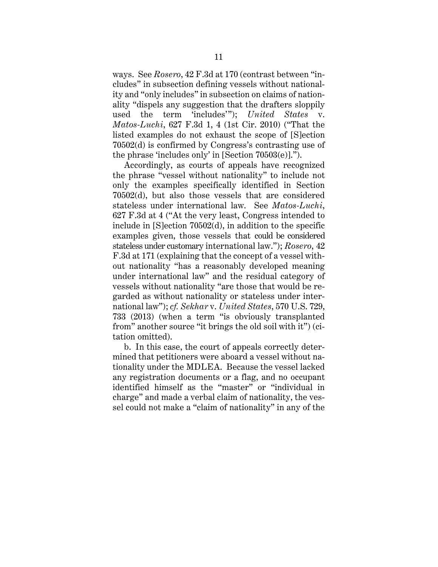ways. See *Rosero*, 42 F.3d at 170 (contrast between "includes" in subsection defining vessels without nationality and "only includes" in subsection on claims of nationality "dispels any suggestion that the drafters sloppily used the term 'includes'"); *United States* v. *Matos-Luchi*, 627 F.3d 1, 4 (1st Cir. 2010) ("That the listed examples do not exhaust the scope of [S]ection 70502(d) is confirmed by Congress's contrasting use of the phrase 'includes only' in [Section 70503(e)].").

Accordingly, as courts of appeals have recognized the phrase "vessel without nationality" to include not only the examples specifically identified in Section 70502(d), but also those vessels that are considered stateless under international law. See *Matos-Luchi*, 627 F.3d at 4 ("At the very least, Congress intended to include in [S]ection 70502(d), in addition to the specific examples given, those vessels that could be considered stateless under customary international law."); *Rosero*, 42 F.3d at 171 (explaining that the concept of a vessel without nationality "has a reasonably developed meaning under international law" and the residual category of vessels without nationality "are those that would be regarded as without nationality or stateless under international law"); *cf. Sekhar* v. *United States*, 570 U.S. 729, 733 (2013) (when a term "is obviously transplanted from" another source "it brings the old soil with it") (citation omitted).

b. In this case, the court of appeals correctly determined that petitioners were aboard a vessel without nationality under the MDLEA. Because the vessel lacked any registration documents or a flag, and no occupant identified himself as the "master" or "individual in charge" and made a verbal claim of nationality, the vessel could not make a "claim of nationality" in any of the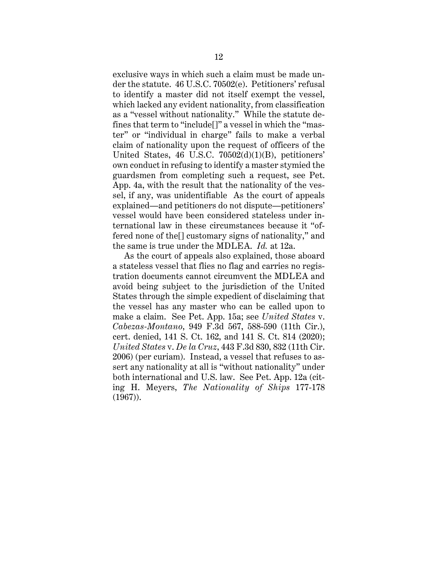exclusive ways in which such a claim must be made under the statute. 46 U.S.C. 70502(e). Petitioners' refusal to identify a master did not itself exempt the vessel, which lacked any evident nationality, from classification as a "vessel without nationality." While the statute defines that term to "include[]" a vessel in which the "master" or "individual in charge" fails to make a verbal claim of nationality upon the request of officers of the United States, 46 U.S.C. 70502(d)(1)(B), petitioners' own conduct in refusing to identify a master stymied the guardsmen from completing such a request, see Pet. App. 4a, with the result that the nationality of the vessel, if any, was unidentifiable As the court of appeals explained—and petitioners do not dispute—petitioners' vessel would have been considered stateless under international law in these circumstances because it "offered none of the[] customary signs of nationality," and the same is true under the MDLEA. *Id.* at 12a.

As the court of appeals also explained, those aboard a stateless vessel that flies no flag and carries no registration documents cannot circumvent the MDLEA and avoid being subject to the jurisdiction of the United States through the simple expedient of disclaiming that the vessel has any master who can be called upon to make a claim. See Pet. App. 15a; see *United States* v. *Cabezas-Montano*, 949 F.3d 567, 588-590 (11th Cir.), cert. denied, 141 S. Ct. 162, and 141 S. Ct. 814 (2020); *United States* v. *De la Cruz*, 443 F.3d 830, 832 (11th Cir. 2006) (per curiam). Instead, a vessel that refuses to assert any nationality at all is "without nationality" under both international and U.S. law. See Pet. App. 12a (citing H. Meyers, *The Nationality of Ships* 177-178 (1967)).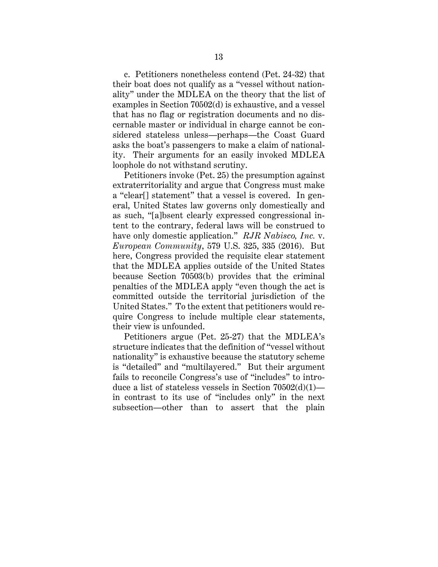c. Petitioners nonetheless contend (Pet. 24-32) that their boat does not qualify as a "vessel without nationality" under the MDLEA on the theory that the list of examples in Section 70502(d) is exhaustive, and a vessel that has no flag or registration documents and no discernable master or individual in charge cannot be considered stateless unless—perhaps—the Coast Guard asks the boat's passengers to make a claim of nationality. Their arguments for an easily invoked MDLEA loophole do not withstand scrutiny.

Petitioners invoke (Pet. 25) the presumption against extraterritoriality and argue that Congress must make a "clear[] statement" that a vessel is covered. In general, United States law governs only domestically and as such, "[a]bsent clearly expressed congressional intent to the contrary, federal laws will be construed to have only domestic application." *RJR Nabisco, Inc.* v. *European Community*, 579 U.S. 325, 335 (2016). But here, Congress provided the requisite clear statement that the MDLEA applies outside of the United States because Section 70503(b) provides that the criminal penalties of the MDLEA apply "even though the act is committed outside the territorial jurisdiction of the United States." To the extent that petitioners would require Congress to include multiple clear statements, their view is unfounded.

Petitioners argue (Pet. 25-27) that the MDLEA's structure indicates that the definition of "vessel without nationality" is exhaustive because the statutory scheme is "detailed" and "multilayered." But their argument fails to reconcile Congress's use of "includes" to introduce a list of stateless vessels in Section 70502(d)(1) in contrast to its use of "includes only" in the next subsection—other than to assert that the plain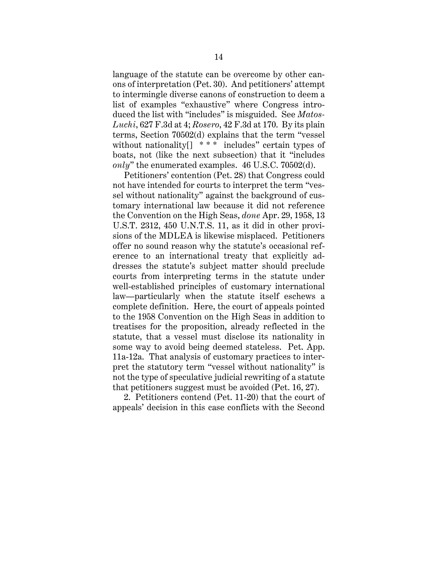language of the statute can be overcome by other canons of interpretation (Pet. 30). And petitioners' attempt to intermingle diverse canons of construction to deem a list of examples "exhaustive" where Congress introduced the list with "includes" is misguided. See *Matos-Luchi*, 627 F.3d at 4; *Rosero*, 42 F.3d at 170. By its plain terms, Section 70502(d) explains that the term "vessel without nationality[] \* \* \* includes" certain types of boats, not (like the next subsection) that it "includes *only*" the enumerated examples. 46 U.S.C. 70502(d).

Petitioners' contention (Pet. 28) that Congress could not have intended for courts to interpret the term "vessel without nationality" against the background of customary international law because it did not reference the Convention on the High Seas, *done* Apr. 29, 1958, 13 U.S.T. 2312, 450 U.N.T.S. 11, as it did in other provisions of the MDLEA is likewise misplaced. Petitioners offer no sound reason why the statute's occasional reference to an international treaty that explicitly addresses the statute's subject matter should preclude courts from interpreting terms in the statute under well-established principles of customary international law—particularly when the statute itself eschews a complete definition. Here, the court of appeals pointed to the 1958 Convention on the High Seas in addition to treatises for the proposition, already reflected in the statute, that a vessel must disclose its nationality in some way to avoid being deemed stateless. Pet. App. 11a-12a. That analysis of customary practices to interpret the statutory term "vessel without nationality" is not the type of speculative judicial rewriting of a statute that petitioners suggest must be avoided (Pet. 16, 27).

2. Petitioners contend (Pet. 11-20) that the court of appeals' decision in this case conflicts with the Second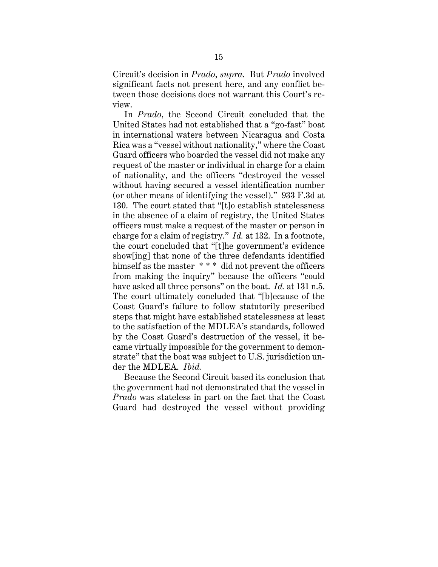Circuit's decision in *Prado*, *supra*. But *Prado* involved significant facts not present here, and any conflict between those decisions does not warrant this Court's review.

In *Prado*, the Second Circuit concluded that the United States had not established that a "go-fast" boat in international waters between Nicaragua and Costa Rica was a "vessel without nationality," where the Coast Guard officers who boarded the vessel did not make any request of the master or individual in charge for a claim of nationality, and the officers "destroyed the vessel without having secured a vessel identification number (or other means of identifying the vessel)." 933 F.3d at 130. The court stated that "[t]o establish statelessness in the absence of a claim of registry, the United States officers must make a request of the master or person in charge for a claim of registry." *Id.* at 132. In a footnote, the court concluded that "[t]he government's evidence show[ing] that none of the three defendants identified himself as the master \*\*\* did not prevent the officers from making the inquiry" because the officers "could have asked all three persons" on the boat. *Id.* at 131 n.5. The court ultimately concluded that "[b]ecause of the Coast Guard's failure to follow statutorily prescribed steps that might have established statelessness at least to the satisfaction of the MDLEA's standards, followed by the Coast Guard's destruction of the vessel, it became virtually impossible for the government to demonstrate" that the boat was subject to U.S. jurisdiction under the MDLEA. *Ibid.* 

Because the Second Circuit based its conclusion that the government had not demonstrated that the vessel in *Prado* was stateless in part on the fact that the Coast Guard had destroyed the vessel without providing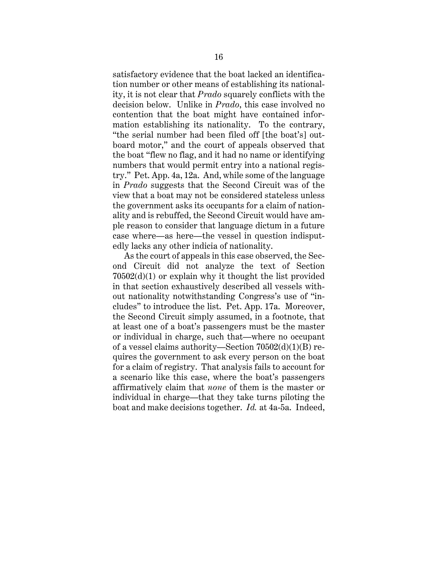satisfactory evidence that the boat lacked an identification number or other means of establishing its nationality, it is not clear that *Prado* squarely conflicts with the decision below. Unlike in *Prado*, this case involved no contention that the boat might have contained information establishing its nationality. To the contrary, "the serial number had been filed off [the boat's] outboard motor," and the court of appeals observed that the boat "flew no flag, and it had no name or identifying numbers that would permit entry into a national registry." Pet. App. 4a, 12a. And, while some of the language in *Prado* suggests that the Second Circuit was of the view that a boat may not be considered stateless unless the government asks its occupants for a claim of nationality and is rebuffed, the Second Circuit would have ample reason to consider that language dictum in a future case where—as here—the vessel in question indisputedly lacks any other indicia of nationality.

As the court of appeals in this case observed, the Second Circuit did not analyze the text of Section 70502(d)(1) or explain why it thought the list provided in that section exhaustively described all vessels without nationality notwithstanding Congress's use of "includes" to introduce the list. Pet. App. 17a. Moreover, the Second Circuit simply assumed, in a footnote, that at least one of a boat's passengers must be the master or individual in charge, such that—where no occupant of a vessel claims authority—Section 70502(d)(1)(B) requires the government to ask every person on the boat for a claim of registry. That analysis fails to account for a scenario like this case, where the boat's passengers affirmatively claim that *none* of them is the master or individual in charge—that they take turns piloting the boat and make decisions together. *Id.* at 4a-5a. Indeed,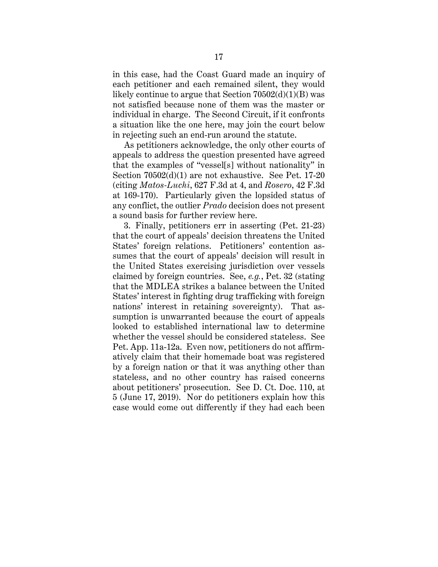in this case, had the Coast Guard made an inquiry of each petitioner and each remained silent, they would likely continue to argue that Section  $70502(d)(1)(B)$  was not satisfied because none of them was the master or individual in charge. The Second Circuit, if it confronts a situation like the one here, may join the court below in rejecting such an end-run around the statute.

As petitioners acknowledge, the only other courts of appeals to address the question presented have agreed that the examples of "vessel[s] without nationality" in Section 70502(d)(1) are not exhaustive. See Pet. 17-20 (citing *Matos-Luchi*, 627 F.3d at 4, and *Rosero*, 42 F.3d at 169-170). Particularly given the lopsided status of any conflict, the outlier *Prado* decision does not present a sound basis for further review here.

3. Finally, petitioners err in asserting (Pet. 21-23) that the court of appeals' decision threatens the United States' foreign relations. Petitioners' contention assumes that the court of appeals' decision will result in the United States exercising jurisdiction over vessels claimed by foreign countries. See, *e.g.*, Pet. 32 (stating that the MDLEA strikes a balance between the United States' interest in fighting drug trafficking with foreign nations' interest in retaining sovereignty). That assumption is unwarranted because the court of appeals looked to established international law to determine whether the vessel should be considered stateless. See Pet. App. 11a-12a. Even now, petitioners do not affirmatively claim that their homemade boat was registered by a foreign nation or that it was anything other than stateless, and no other country has raised concerns about petitioners' prosecution. See D. Ct. Doc. 110, at 5 (June 17, 2019). Nor do petitioners explain how this case would come out differently if they had each been